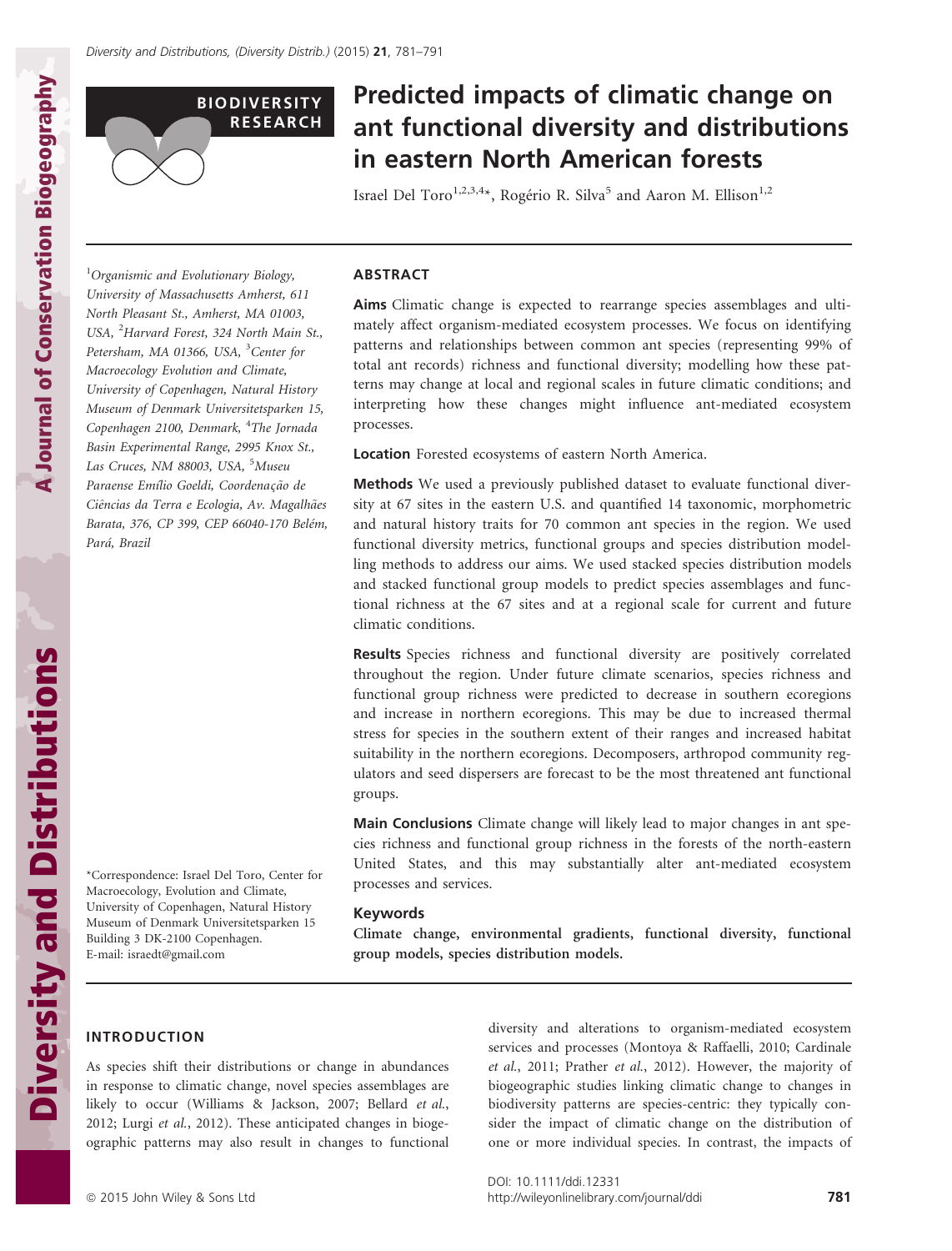

# Predicted impacts of climatic change on ant functional diversity and distributions in eastern North American forests

Israel Del Toro<sup>1,2,3,4\*</sup>, Rogério R. Silva<sup>5</sup> and Aaron M. Ellison<sup>1,2</sup>

<sup>1</sup>Organismic and Evolutionary Biology, University of Massachusetts Amherst, 611 North Pleasant St., Amherst, MA 01003, USA, <sup>2</sup>Harvard Forest, 324 North Main St., Petersham, MA 01366, USA, <sup>3</sup>Center for Macroecology Evolution and Climate, University of Copenhagen, Natural History Museum of Denmark Universitetsparken 15, Copenhagen 2100, Denmark, <sup>4</sup>The Jornada Basin Experimental Range, 2995 Knox St., Las Cruces, NM 88003, USA, <sup>5</sup>Museu Paraense Emílio Goeldi, Coordenação de Ciências da Terra e Ecologia, Av. Magalhães Barata, 376, CP 399, CEP 66040-170 Belém, Pará, Brazil

## ABSTRACT

Aims Climatic change is expected to rearrange species assemblages and ultimately affect organism-mediated ecosystem processes. We focus on identifying patterns and relationships between common ant species (representing 99% of total ant records) richness and functional diversity; modelling how these patterns may change at local and regional scales in future climatic conditions; and interpreting how these changes might influence ant-mediated ecosystem processes.

Location Forested ecosystems of eastern North America.

Methods We used a previously published dataset to evaluate functional diversity at 67 sites in the eastern U.S. and quantified 14 taxonomic, morphometric and natural history traits for 70 common ant species in the region. We used functional diversity metrics, functional groups and species distribution modelling methods to address our aims. We used stacked species distribution models and stacked functional group models to predict species assemblages and functional richness at the 67 sites and at a regional scale for current and future climatic conditions.

Results Species richness and functional diversity are positively correlated throughout the region. Under future climate scenarios, species richness and functional group richness were predicted to decrease in southern ecoregions and increase in northern ecoregions. This may be due to increased thermal stress for species in the southern extent of their ranges and increased habitat suitability in the northern ecoregions. Decomposers, arthropod community regulators and seed dispersers are forecast to be the most threatened ant functional groups.

Main Conclusions Climate change will likely lead to major changes in ant species richness and functional group richness in the forests of the north-eastern United States, and this may substantially alter ant-mediated ecosystem processes and services.

#### Keywords

Climate change, environmental gradients, functional diversity, functional group models, species distribution models.

**Diversity and Distributions** Diversity and Distributions

A Journal of Conservation Biogeography

A Journal of Conservation Biogeography

\*Correspondence: Israel Del Toro, Center for Macroecology, Evolution and Climate, University of Copenhagen, Natural History Museum of Denmark Universitetsparken 15 Building 3 DK-2100 Copenhagen. E-mail: israedt@gmail.com

# INTRODUCTION

As species shift their distributions or change in abundances in response to climatic change, novel species assemblages are likely to occur (Williams & Jackson, 2007; Bellard et al., 2012; Lurgi et al., 2012). These anticipated changes in biogeographic patterns may also result in changes to functional

diversity and alterations to organism-mediated ecosystem services and processes (Montoya & Raffaelli, 2010; Cardinale et al., 2011; Prather et al., 2012). However, the majority of biogeographic studies linking climatic change to changes in biodiversity patterns are species-centric: they typically consider the impact of climatic change on the distribution of one or more individual species. In contrast, the impacts of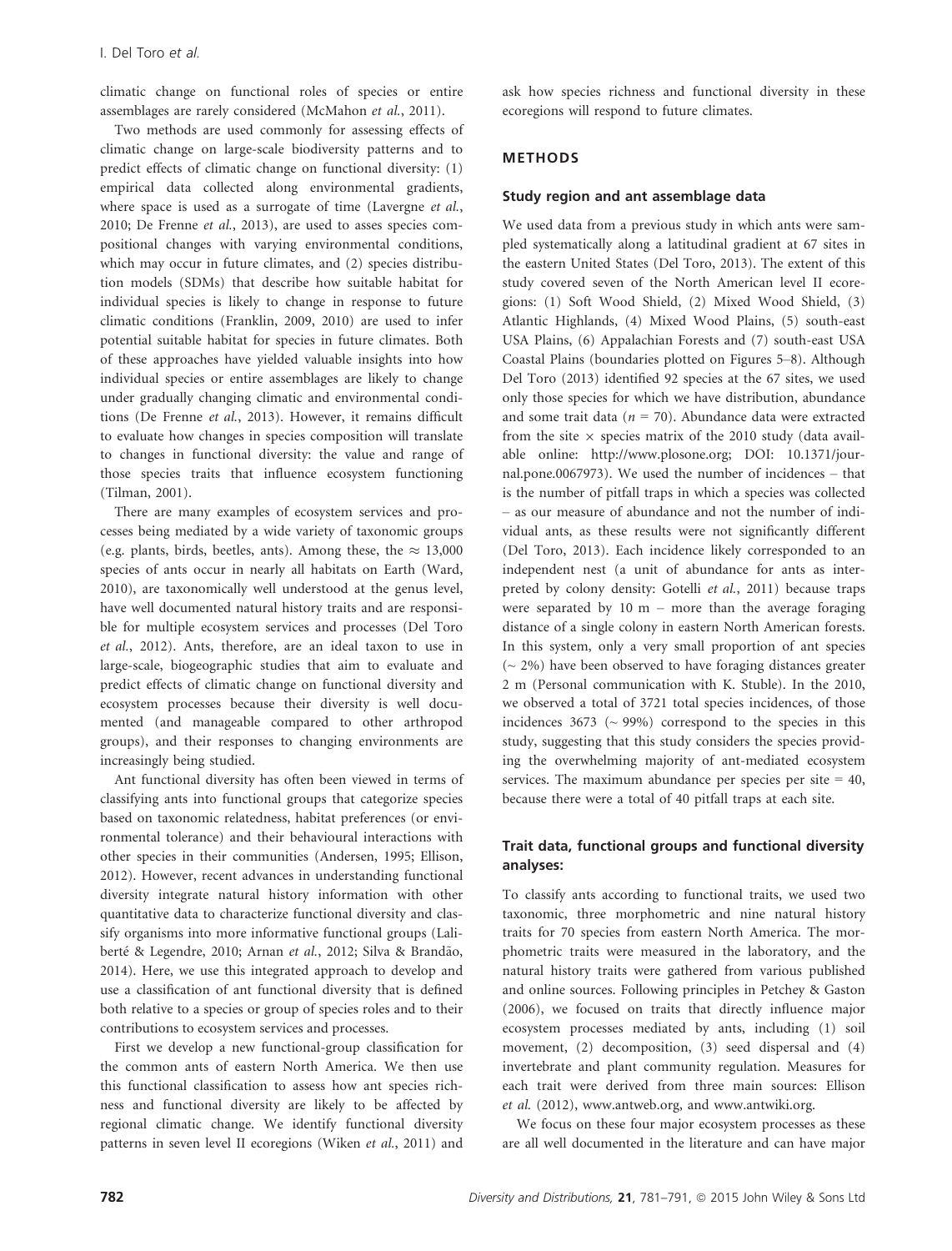climatic change on functional roles of species or entire assemblages are rarely considered (McMahon et al., 2011).

Two methods are used commonly for assessing effects of climatic change on large-scale biodiversity patterns and to predict effects of climatic change on functional diversity: (1) empirical data collected along environmental gradients, where space is used as a surrogate of time (Lavergne et al., 2010; De Frenne et al., 2013), are used to asses species compositional changes with varying environmental conditions, which may occur in future climates, and (2) species distribution models (SDMs) that describe how suitable habitat for individual species is likely to change in response to future climatic conditions (Franklin, 2009, 2010) are used to infer potential suitable habitat for species in future climates. Both of these approaches have yielded valuable insights into how individual species or entire assemblages are likely to change under gradually changing climatic and environmental conditions (De Frenne et al., 2013). However, it remains difficult to evaluate how changes in species composition will translate to changes in functional diversity: the value and range of those species traits that influence ecosystem functioning (Tilman, 2001).

There are many examples of ecosystem services and processes being mediated by a wide variety of taxonomic groups (e.g. plants, birds, beetles, ants). Among these, the  $\approx 13,000$ species of ants occur in nearly all habitats on Earth (Ward, 2010), are taxonomically well understood at the genus level, have well documented natural history traits and are responsible for multiple ecosystem services and processes (Del Toro et al., 2012). Ants, therefore, are an ideal taxon to use in large-scale, biogeographic studies that aim to evaluate and predict effects of climatic change on functional diversity and ecosystem processes because their diversity is well documented (and manageable compared to other arthropod groups), and their responses to changing environments are increasingly being studied.

Ant functional diversity has often been viewed in terms of classifying ants into functional groups that categorize species based on taxonomic relatedness, habitat preferences (or environmental tolerance) and their behavioural interactions with other species in their communities (Andersen, 1995; Ellison, 2012). However, recent advances in understanding functional diversity integrate natural history information with other quantitative data to characterize functional diversity and classify organisms into more informative functional groups (Laliberté & Legendre, 2010; Arnan et al., 2012; Silva & Brandão, 2014). Here, we use this integrated approach to develop and use a classification of ant functional diversity that is defined both relative to a species or group of species roles and to their contributions to ecosystem services and processes.

First we develop a new functional-group classification for the common ants of eastern North America. We then use this functional classification to assess how ant species richness and functional diversity are likely to be affected by regional climatic change. We identify functional diversity patterns in seven level II ecoregions (Wiken et al., 2011) and ask how species richness and functional diversity in these ecoregions will respond to future climates.

# METHODS

#### Study region and ant assemblage data

We used data from a previous study in which ants were sampled systematically along a latitudinal gradient at 67 sites in the eastern United States (Del Toro, 2013). The extent of this study covered seven of the North American level II ecoregions: (1) Soft Wood Shield, (2) Mixed Wood Shield, (3) Atlantic Highlands, (4) Mixed Wood Plains, (5) south-east USA Plains, (6) Appalachian Forests and (7) south-east USA Coastal Plains (boundaries plotted on Figures 5–8). Although Del Toro (2013) identified 92 species at the 67 sites, we used only those species for which we have distribution, abundance and some trait data ( $n = 70$ ). Abundance data were extracted from the site  $\times$  species matrix of the 2010 study (data available online: [http://www.plosone.org;](http://www.plosone.org) DOI: [10.1371/jour](http://dx.doi.org/10.1371/journal.pone.0067973)[nal.pone.0067973\)](http://dx.doi.org/10.1371/journal.pone.0067973). We used the number of incidences – that is the number of pitfall traps in which a species was collected – as our measure of abundance and not the number of individual ants, as these results were not significantly different (Del Toro, 2013). Each incidence likely corresponded to an independent nest (a unit of abundance for ants as interpreted by colony density: Gotelli et al., 2011) because traps were separated by  $10 \text{ m}$  – more than the average foraging distance of a single colony in eastern North American forests. In this system, only a very small proportion of ant species  $({\sim 2\%})$  have been observed to have foraging distances greater 2 m (Personal communication with K. Stuble). In the 2010, we observed a total of 3721 total species incidences, of those incidences  $3673$  ( $\sim$  99%) correspond to the species in this study, suggesting that this study considers the species providing the overwhelming majority of ant-mediated ecosystem services. The maximum abundance per species per site  $= 40$ , because there were a total of 40 pitfall traps at each site.

# Trait data, functional groups and functional diversity analyses:

To classify ants according to functional traits, we used two taxonomic, three morphometric and nine natural history traits for 70 species from eastern North America. The morphometric traits were measured in the laboratory, and the natural history traits were gathered from various published and online sources. Following principles in Petchey & Gaston (2006), we focused on traits that directly influence major ecosystem processes mediated by ants, including (1) soil movement, (2) decomposition, (3) seed dispersal and (4) invertebrate and plant community regulation. Measures for each trait were derived from three main sources: Ellison et al. (2012), [www.antweb.org](http://www.antweb.org), and [www.antwiki.org](http://www.antwiki.org).

We focus on these four major ecosystem processes as these are all well documented in the literature and can have major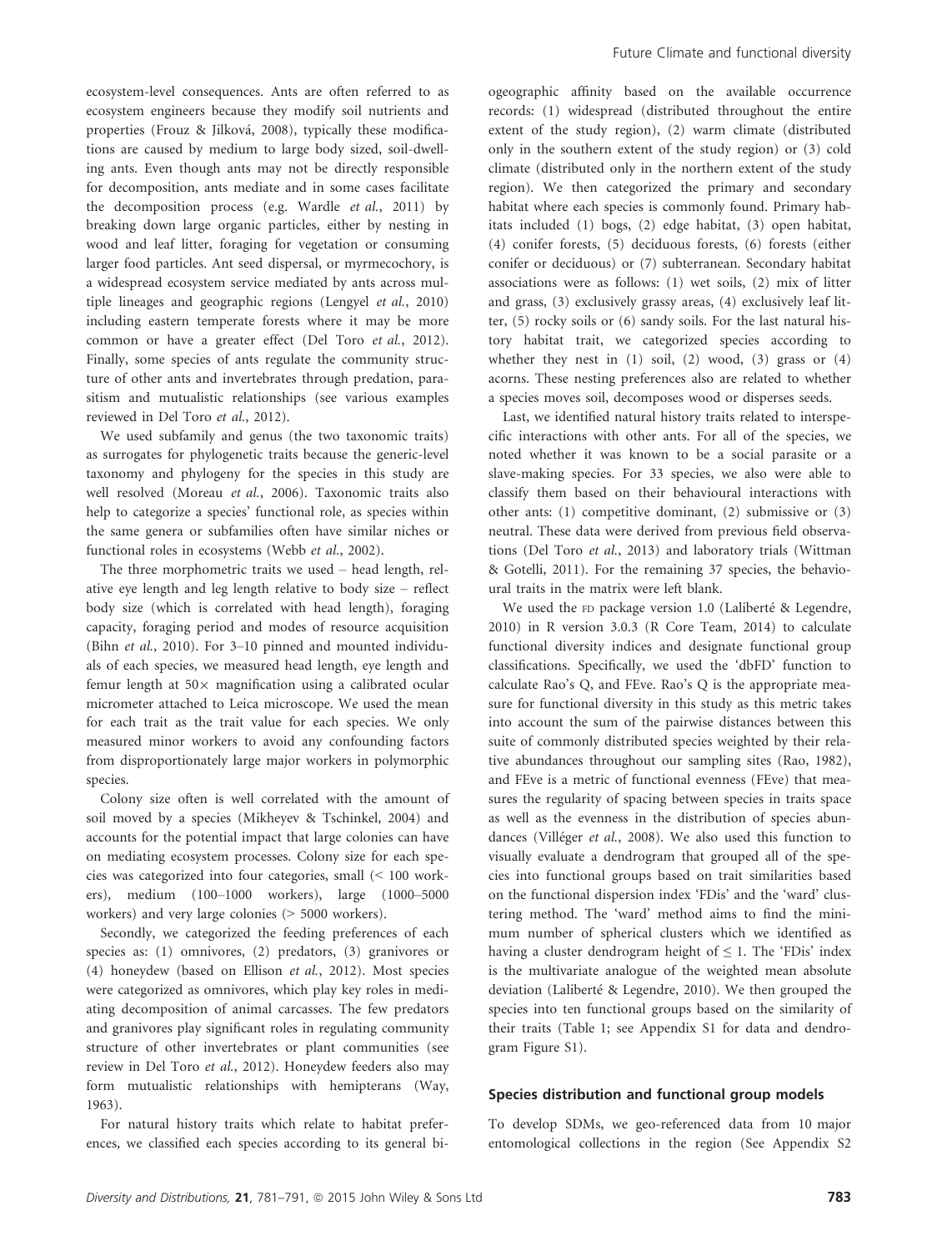ecosystem-level consequences. Ants are often referred to as ecosystem engineers because they modify soil nutrients and properties (Frouz & Jilková, 2008), typically these modifications are caused by medium to large body sized, soil-dwelling ants. Even though ants may not be directly responsible for decomposition, ants mediate and in some cases facilitate the decomposition process (e.g. Wardle et al., 2011) by breaking down large organic particles, either by nesting in wood and leaf litter, foraging for vegetation or consuming larger food particles. Ant seed dispersal, or myrmecochory, is a widespread ecosystem service mediated by ants across multiple lineages and geographic regions (Lengyel et al., 2010) including eastern temperate forests where it may be more common or have a greater effect (Del Toro et al., 2012). Finally, some species of ants regulate the community structure of other ants and invertebrates through predation, parasitism and mutualistic relationships (see various examples reviewed in Del Toro et al., 2012).

We used subfamily and genus (the two taxonomic traits) as surrogates for phylogenetic traits because the generic-level taxonomy and phylogeny for the species in this study are well resolved (Moreau et al., 2006). Taxonomic traits also help to categorize a species' functional role, as species within the same genera or subfamilies often have similar niches or functional roles in ecosystems (Webb et al., 2002).

The three morphometric traits we used – head length, relative eye length and leg length relative to body size – reflect body size (which is correlated with head length), foraging capacity, foraging period and modes of resource acquisition (Bihn et al., 2010). For 3–10 pinned and mounted individuals of each species, we measured head length, eye length and femur length at  $50\times$  magnification using a calibrated ocular micrometer attached to Leica microscope. We used the mean for each trait as the trait value for each species. We only measured minor workers to avoid any confounding factors from disproportionately large major workers in polymorphic species.

Colony size often is well correlated with the amount of soil moved by a species (Mikheyev & Tschinkel, 2004) and accounts for the potential impact that large colonies can have on mediating ecosystem processes. Colony size for each species was categorized into four categories, small (< 100 workers), medium (100–1000 workers), large (1000–5000 workers) and very large colonies (> 5000 workers).

Secondly, we categorized the feeding preferences of each species as: (1) omnivores, (2) predators, (3) granivores or (4) honeydew (based on Ellison et al., 2012). Most species were categorized as omnivores, which play key roles in mediating decomposition of animal carcasses. The few predators and granivores play significant roles in regulating community structure of other invertebrates or plant communities (see review in Del Toro et al., 2012). Honeydew feeders also may form mutualistic relationships with hemipterans (Way, 1963).

For natural history traits which relate to habitat preferences, we classified each species according to its general biogeographic affinity based on the available occurrence records: (1) widespread (distributed throughout the entire extent of the study region), (2) warm climate (distributed only in the southern extent of the study region) or (3) cold climate (distributed only in the northern extent of the study region). We then categorized the primary and secondary habitat where each species is commonly found. Primary habitats included (1) bogs, (2) edge habitat, (3) open habitat, (4) conifer forests, (5) deciduous forests, (6) forests (either conifer or deciduous) or (7) subterranean. Secondary habitat associations were as follows: (1) wet soils, (2) mix of litter and grass, (3) exclusively grassy areas, (4) exclusively leaf litter, (5) rocky soils or (6) sandy soils. For the last natural history habitat trait, we categorized species according to whether they nest in (1) soil, (2) wood, (3) grass or (4) acorns. These nesting preferences also are related to whether a species moves soil, decomposes wood or disperses seeds.

Last, we identified natural history traits related to interspecific interactions with other ants. For all of the species, we noted whether it was known to be a social parasite or a slave-making species. For 33 species, we also were able to classify them based on their behavioural interactions with other ants: (1) competitive dominant, (2) submissive or (3) neutral. These data were derived from previous field observations (Del Toro et al., 2013) and laboratory trials (Wittman & Gotelli, 2011). For the remaining 37 species, the behavioural traits in the matrix were left blank.

We used the FD package version 1.0 (Laliberté & Legendre, 2010) in R version 3.0.3 (R Core Team, 2014) to calculate functional diversity indices and designate functional group classifications. Specifically, we used the 'dbFD' function to calculate Rao's Q, and FEve. Rao's Q is the appropriate measure for functional diversity in this study as this metric takes into account the sum of the pairwise distances between this suite of commonly distributed species weighted by their relative abundances throughout our sampling sites (Rao, 1982), and FEve is a metric of functional evenness (FEve) that measures the regularity of spacing between species in traits space as well as the evenness in the distribution of species abundances (Villéger et al., 2008). We also used this function to visually evaluate a dendrogram that grouped all of the species into functional groups based on trait similarities based on the functional dispersion index 'FDis' and the 'ward' clustering method. The 'ward' method aims to find the minimum number of spherical clusters which we identified as having a cluster dendrogram height of  $\leq$  1. The 'FDis' index is the multivariate analogue of the weighted mean absolute deviation (Laliberté & Legendre, 2010). We then grouped the species into ten functional groups based on the similarity of their traits (Table 1; see Appendix S1 for data and dendrogram Figure S1).

#### Species distribution and functional group models

To develop SDMs, we geo-referenced data from 10 major entomological collections in the region (See Appendix S2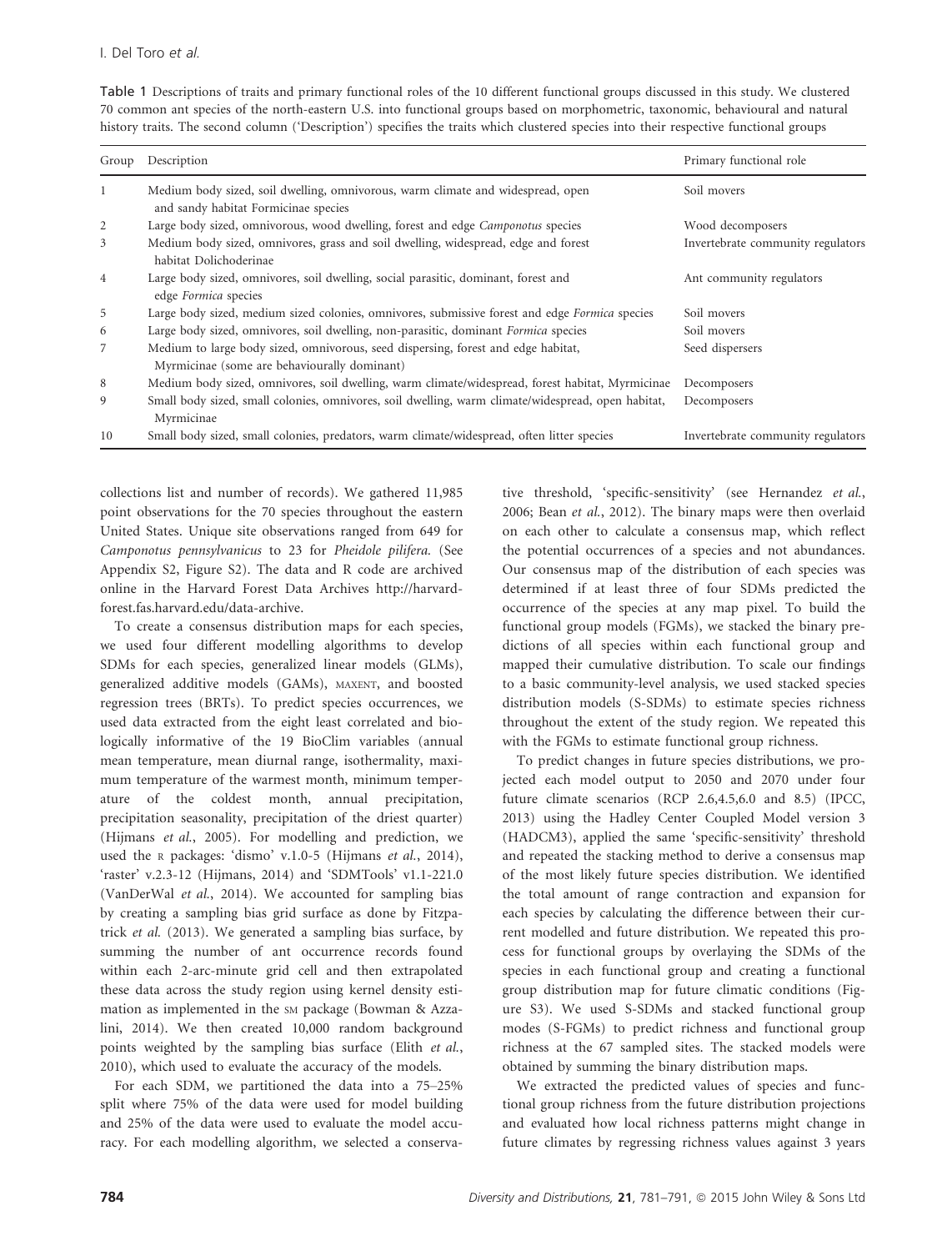Table 1 Descriptions of traits and primary functional roles of the 10 different functional groups discussed in this study. We clustered 70 common ant species of the north-eastern U.S. into functional groups based on morphometric, taxonomic, behavioural and natural history traits. The second column ('Description') specifies the traits which clustered species into their respective functional groups

| Group          | Description                                                                                                                       | Primary functional role           |
|----------------|-----------------------------------------------------------------------------------------------------------------------------------|-----------------------------------|
| 1              | Medium body sized, soil dwelling, omnivorous, warm climate and widespread, open<br>and sandy habitat Formicinae species           | Soil movers                       |
| 2              | Large body sized, omnivorous, wood dwelling, forest and edge Camponotus species                                                   | Wood decomposers                  |
| 3              | Medium body sized, omnivores, grass and soil dwelling, widespread, edge and forest<br>habitat Dolichoderinae                      | Invertebrate community regulators |
| $\overline{4}$ | Large body sized, omnivores, soil dwelling, social parasitic, dominant, forest and<br>edge Formica species                        | Ant community regulators          |
| 5              | Large body sized, medium sized colonies, omnivores, submissive forest and edge Formica species                                    | Soil movers                       |
| 6              | Large body sized, omnivores, soil dwelling, non-parasitic, dominant Formica species                                               | Soil movers                       |
| 7              | Medium to large body sized, omnivorous, seed dispersing, forest and edge habitat,<br>Myrmicinae (some are behaviourally dominant) | Seed dispersers                   |
| 8              | Medium body sized, omnivores, soil dwelling, warm climate/widespread, forest habitat, Myrmicinae                                  | Decomposers                       |
| 9              | Small body sized, small colonies, omnivores, soil dwelling, warm climate/widespread, open habitat,<br>Myrmicinae                  | Decomposers                       |
| 10             | Small body sized, small colonies, predators, warm climate/widespread, often litter species                                        | Invertebrate community regulators |

collections list and number of records). We gathered 11,985 point observations for the 70 species throughout the eastern United States. Unique site observations ranged from 649 for Camponotus pennsylvanicus to 23 for Pheidole pilifera. (See Appendix S2, Figure S2). The data and R code are archived online in the Harvard Forest Data Archives [http://harvard](http://harvardforest.fas.harvard.edu/data-archive)[forest.fas.harvard.edu/data-archive.](http://harvardforest.fas.harvard.edu/data-archive)

To create a consensus distribution maps for each species, we used four different modelling algorithms to develop SDMs for each species, generalized linear models (GLMs), generalized additive models (GAMs), MAXENT, and boosted regression trees (BRTs). To predict species occurrences, we used data extracted from the eight least correlated and biologically informative of the 19 BioClim variables (annual mean temperature, mean diurnal range, isothermality, maximum temperature of the warmest month, minimum temperature of the coldest month, annual precipitation, precipitation seasonality, precipitation of the driest quarter) (Hijmans et al., 2005). For modelling and prediction, we used the <sup>R</sup> packages: 'dismo' v.1.0-5 (Hijmans et al., 2014), 'raster' v.2.3-12 (Hijmans, 2014) and 'SDMTools' v1.1-221.0 (VanDerWal et al., 2014). We accounted for sampling bias by creating a sampling bias grid surface as done by Fitzpatrick et al. (2013). We generated a sampling bias surface, by summing the number of ant occurrence records found within each 2-arc-minute grid cell and then extrapolated these data across the study region using kernel density estimation as implemented in the SM package (Bowman & Azzalini, 2014). We then created 10,000 random background points weighted by the sampling bias surface (Elith et al., 2010), which used to evaluate the accuracy of the models.

For each SDM, we partitioned the data into a 75–25% split where 75% of the data were used for model building and 25% of the data were used to evaluate the model accuracy. For each modelling algorithm, we selected a conservative threshold, 'specific-sensitivity' (see Hernandez et al., 2006; Bean et al., 2012). The binary maps were then overlaid on each other to calculate a consensus map, which reflect the potential occurrences of a species and not abundances. Our consensus map of the distribution of each species was determined if at least three of four SDMs predicted the occurrence of the species at any map pixel. To build the functional group models (FGMs), we stacked the binary predictions of all species within each functional group and mapped their cumulative distribution. To scale our findings to a basic community-level analysis, we used stacked species distribution models (S-SDMs) to estimate species richness throughout the extent of the study region. We repeated this with the FGMs to estimate functional group richness.

To predict changes in future species distributions, we projected each model output to 2050 and 2070 under four future climate scenarios (RCP 2.6,4.5,6.0 and 8.5) (IPCC, 2013) using the Hadley Center Coupled Model version 3 (HADCM3), applied the same 'specific-sensitivity' threshold and repeated the stacking method to derive a consensus map of the most likely future species distribution. We identified the total amount of range contraction and expansion for each species by calculating the difference between their current modelled and future distribution. We repeated this process for functional groups by overlaying the SDMs of the species in each functional group and creating a functional group distribution map for future climatic conditions (Figure S3). We used S-SDMs and stacked functional group modes (S-FGMs) to predict richness and functional group richness at the 67 sampled sites. The stacked models were obtained by summing the binary distribution maps.

We extracted the predicted values of species and functional group richness from the future distribution projections and evaluated how local richness patterns might change in future climates by regressing richness values against 3 years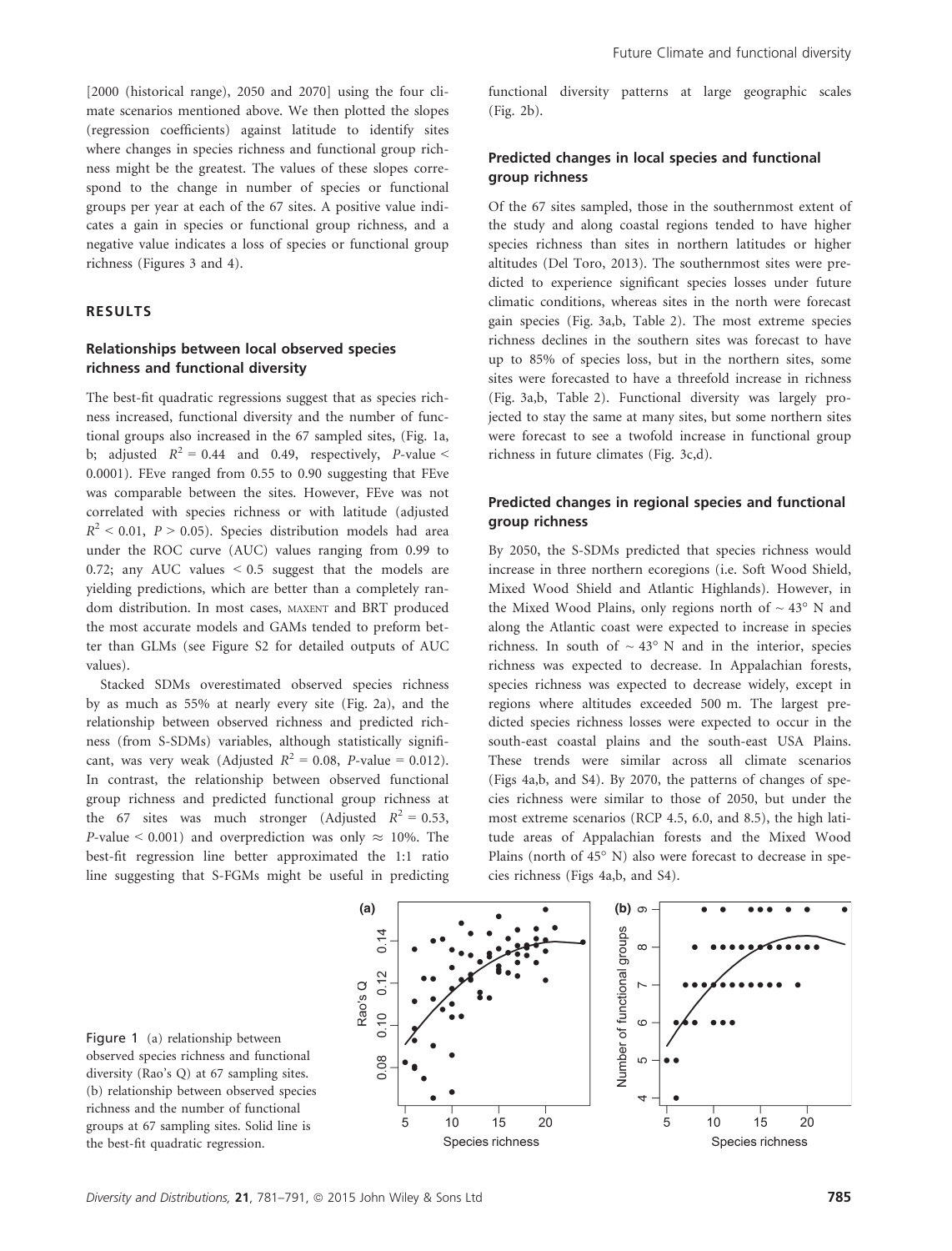[2000 (historical range), 2050 and 2070] using the four climate scenarios mentioned above. We then plotted the slopes (regression coefficients) against latitude to identify sites where changes in species richness and functional group richness might be the greatest. The values of these slopes correspond to the change in number of species or functional groups per year at each of the 67 sites. A positive value indicates a gain in species or functional group richness, and a negative value indicates a loss of species or functional group richness (Figures 3 and 4).

#### RESULTS

# Relationships between local observed species richness and functional diversity

The best-fit quadratic regressions suggest that as species richness increased, functional diversity and the number of functional groups also increased in the 67 sampled sites, (Fig. 1a, b; adjusted  $R^2 = 0.44$  and 0.49, respectively, P-value < 0.0001). FEve ranged from 0.55 to 0.90 suggesting that FEve was comparable between the sites. However, FEve was not correlated with species richness or with latitude (adjusted  $R^2$  < 0.01, P > 0.05). Species distribution models had area under the ROC curve (AUC) values ranging from 0.99 to 0.72; any AUC values  $\leq$  0.5 suggest that the models are yielding predictions, which are better than a completely random distribution. In most cases, MAXENT and BRT produced the most accurate models and GAMs tended to preform better than GLMs (see Figure S2 for detailed outputs of AUC values).

Stacked SDMs overestimated observed species richness by as much as 55% at nearly every site (Fig. 2a), and the relationship between observed richness and predicted richness (from S-SDMs) variables, although statistically significant, was very weak (Adjusted  $R^2 = 0.08$ , P-value = 0.012). In contrast, the relationship between observed functional group richness and predicted functional group richness at the 67 sites was much stronger (Adjusted  $R^2 = 0.53$ , P-value  $\leq 0.001$ ) and overprediction was only  $\approx 10\%$ . The best-fit regression line better approximated the 1:1 ratio line suggesting that S-FGMs might be useful in predicting functional diversity patterns at large geographic scales (Fig. 2b).

## Predicted changes in local species and functional group richness

Of the 67 sites sampled, those in the southernmost extent of the study and along coastal regions tended to have higher species richness than sites in northern latitudes or higher altitudes (Del Toro, 2013). The southernmost sites were predicted to experience significant species losses under future climatic conditions, whereas sites in the north were forecast gain species (Fig. 3a,b, Table 2). The most extreme species richness declines in the southern sites was forecast to have up to 85% of species loss, but in the northern sites, some sites were forecasted to have a threefold increase in richness (Fig. 3a,b, Table 2). Functional diversity was largely projected to stay the same at many sites, but some northern sites were forecast to see a twofold increase in functional group richness in future climates (Fig. 3c,d).

# Predicted changes in regional species and functional group richness

By 2050, the S-SDMs predicted that species richness would increase in three northern ecoregions (i.e. Soft Wood Shield, Mixed Wood Shield and Atlantic Highlands). However, in the Mixed Wood Plains, only regions north of  $\sim 43^{\circ}$  N and along the Atlantic coast were expected to increase in species richness. In south of  $\sim 43^{\circ}$  N and in the interior, species richness was expected to decrease. In Appalachian forests, species richness was expected to decrease widely, except in regions where altitudes exceeded 500 m. The largest predicted species richness losses were expected to occur in the south-east coastal plains and the south-east USA Plains. These trends were similar across all climate scenarios (Figs 4a,b, and S4). By 2070, the patterns of changes of species richness were similar to those of 2050, but under the most extreme scenarios (RCP 4.5, 6.0, and 8.5), the high latitude areas of Appalachian forests and the Mixed Wood Plains (north of 45° N) also were forecast to decrease in species richness (Figs 4a,b, and S4).



Figure 1 (a) relationship between observed species richness and functional diversity (Rao's Q) at 67 sampling sites. (b) relationship between observed species richness and the number of functional groups at 67 sampling sites. Solid line is the best-fit quadratic regression.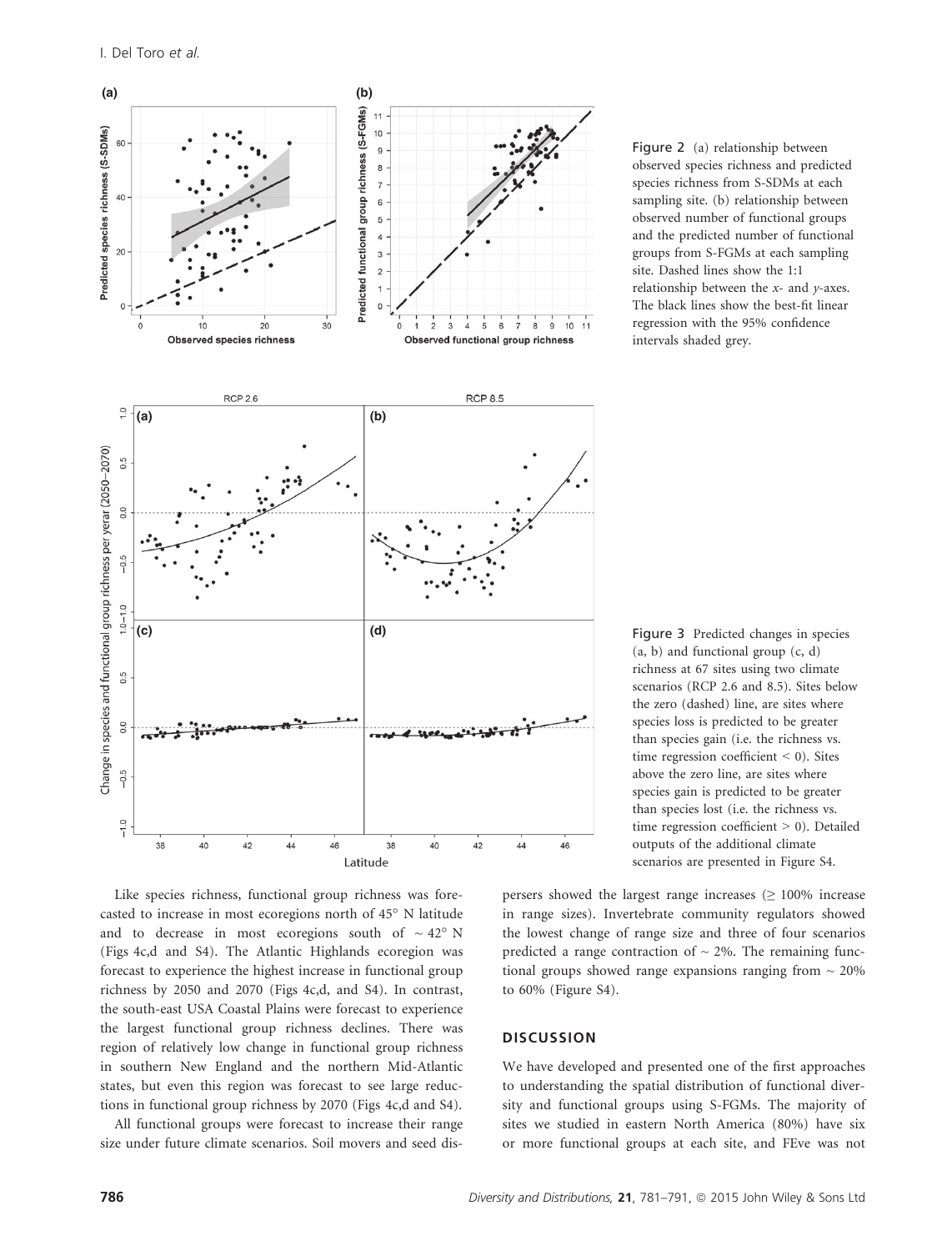

Like species richness, functional group richness was forecasted to increase in most ecoregions north of 45° N latitude and to decrease in most ecoregions south of  $\sim 42^{\circ}$  N (Figs 4c,d and S4). The Atlantic Highlands ecoregion was forecast to experience the highest increase in functional group richness by 2050 and 2070 (Figs 4c,d, and S4). In contrast, the south-east USA Coastal Plains were forecast to experience the largest functional group richness declines. There was region of relatively low change in functional group richness in southern New England and the northern Mid-Atlantic states, but even this region was forecast to see large reductions in functional group richness by 2070 (Figs 4c,d and S4).

All functional groups were forecast to increase their range size under future climate scenarios. Soil movers and seed disFigure 2 (a) relationship between observed species richness and predicted species richness from S-SDMs at each sampling site. (b) relationship between observed number of functional groups and the predicted number of functional groups from S-FGMs at each sampling site. Dashed lines show the 1:1 relationship between the  $x$ - and  $y$ -axes. The black lines show the best-fit linear regression with the 95% confidence intervals shaded grey.

Figure 3 Predicted changes in species  $(a, b)$  and functional group  $(c, d)$ richness at 67 sites using two climate scenarios (RCP 2.6 and 8.5). Sites below the zero (dashed) line, are sites where species loss is predicted to be greater than species gain (i.e. the richness vs. time regression coefficient < 0). Sites above the zero line, are sites where species gain is predicted to be greater than species lost (i.e. the richness vs. time regression coefficient > 0). Detailed outputs of the additional climate scenarios are presented in Figure S4.

persers showed the largest range increases ( $\geq 100\%$  increase in range sizes). Invertebrate community regulators showed the lowest change of range size and three of four scenarios predicted a range contraction of  $\sim$  2%. The remaining functional groups showed range expansions ranging from  $\sim 20\%$ to 60% (Figure S4).

#### **DISCUSSION**

We have developed and presented one of the first approaches to understanding the spatial distribution of functional diversity and functional groups using S-FGMs. The majority of sites we studied in eastern North America (80%) have six or more functional groups at each site, and FEve was not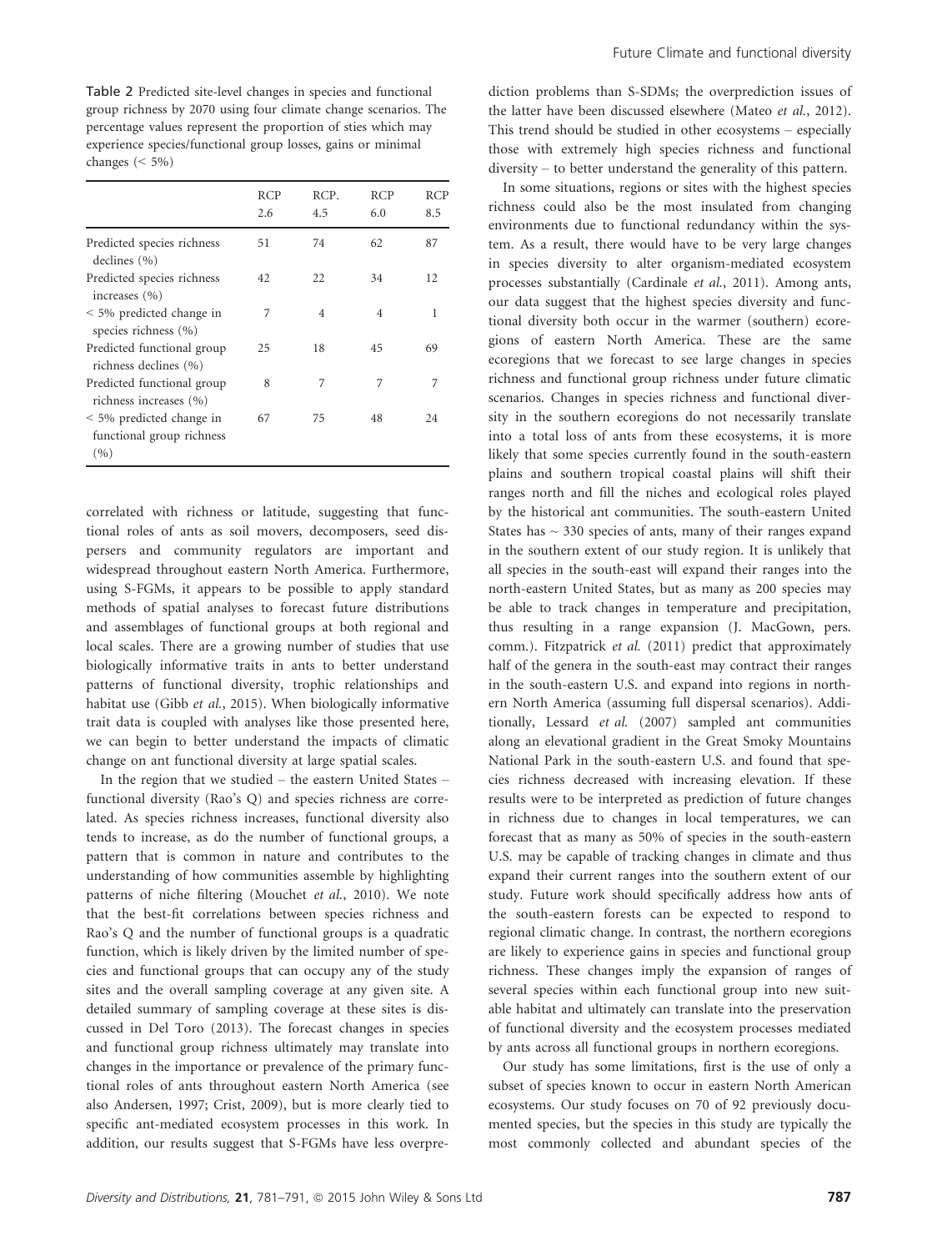Table 2 Predicted site-level changes in species and functional group richness by 2070 using four climate change scenarios. The percentage values represent the proportion of sties which may experience species/functional group losses, gains or minimal changes  $(< 5\%)$ 

|                                                                    | RCP<br>2.6 | RCP.<br>4.5    | <b>RCP</b><br>6.0 | <b>RCP</b><br>8.5 |
|--------------------------------------------------------------------|------------|----------------|-------------------|-------------------|
| Predicted species richness<br>$\alpha$ declines $(\% )$            | 51         | 74             | 62                | 87                |
| Predicted species richness<br>increases (%)                        | 42         | 22             | 34                | 12                |
| $\le$ 5% predicted change in<br>species richness $(\% )$           | 7          | $\overline{4}$ | $\overline{4}$    | 1                 |
| Predicted functional group<br>richness declines (%)                | 25         | 18             | 45                | 69                |
| Predicted functional group<br>richness increases (%)               | 8          | 7              | 7                 |                   |
| $\le$ 5% predicted change in<br>functional group richness<br>(9/0) | 67         | 75             | 48                | 24                |

correlated with richness or latitude, suggesting that functional roles of ants as soil movers, decomposers, seed dispersers and community regulators are important and widespread throughout eastern North America. Furthermore, using S-FGMs, it appears to be possible to apply standard methods of spatial analyses to forecast future distributions and assemblages of functional groups at both regional and local scales. There are a growing number of studies that use biologically informative traits in ants to better understand patterns of functional diversity, trophic relationships and habitat use (Gibb et al., 2015). When biologically informative trait data is coupled with analyses like those presented here, we can begin to better understand the impacts of climatic change on ant functional diversity at large spatial scales.

In the region that we studied – the eastern United States – functional diversity (Rao's Q) and species richness are correlated. As species richness increases, functional diversity also tends to increase, as do the number of functional groups, a pattern that is common in nature and contributes to the understanding of how communities assemble by highlighting patterns of niche filtering (Mouchet et al., 2010). We note that the best-fit correlations between species richness and Rao's Q and the number of functional groups is a quadratic function, which is likely driven by the limited number of species and functional groups that can occupy any of the study sites and the overall sampling coverage at any given site. A detailed summary of sampling coverage at these sites is discussed in Del Toro (2013). The forecast changes in species and functional group richness ultimately may translate into changes in the importance or prevalence of the primary functional roles of ants throughout eastern North America (see also Andersen, 1997; Crist, 2009), but is more clearly tied to specific ant-mediated ecosystem processes in this work. In addition, our results suggest that S-FGMs have less overprediction problems than S-SDMs; the overprediction issues of the latter have been discussed elsewhere (Mateo et al., 2012). This trend should be studied in other ecosystems – especially those with extremely high species richness and functional diversity – to better understand the generality of this pattern.

In some situations, regions or sites with the highest species richness could also be the most insulated from changing environments due to functional redundancy within the system. As a result, there would have to be very large changes in species diversity to alter organism-mediated ecosystem processes substantially (Cardinale et al., 2011). Among ants, our data suggest that the highest species diversity and functional diversity both occur in the warmer (southern) ecoregions of eastern North America. These are the same ecoregions that we forecast to see large changes in species richness and functional group richness under future climatic scenarios. Changes in species richness and functional diversity in the southern ecoregions do not necessarily translate into a total loss of ants from these ecosystems, it is more likely that some species currently found in the south-eastern plains and southern tropical coastal plains will shift their ranges north and fill the niches and ecological roles played by the historical ant communities. The south-eastern United States has  $\sim$  330 species of ants, many of their ranges expand in the southern extent of our study region. It is unlikely that all species in the south-east will expand their ranges into the north-eastern United States, but as many as 200 species may be able to track changes in temperature and precipitation, thus resulting in a range expansion (J. MacGown, pers. comm.). Fitzpatrick et al. (2011) predict that approximately half of the genera in the south-east may contract their ranges in the south-eastern U.S. and expand into regions in northern North America (assuming full dispersal scenarios). Additionally, Lessard et al. (2007) sampled ant communities along an elevational gradient in the Great Smoky Mountains National Park in the south-eastern U.S. and found that species richness decreased with increasing elevation. If these results were to be interpreted as prediction of future changes in richness due to changes in local temperatures, we can forecast that as many as 50% of species in the south-eastern U.S. may be capable of tracking changes in climate and thus expand their current ranges into the southern extent of our study. Future work should specifically address how ants of the south-eastern forests can be expected to respond to regional climatic change. In contrast, the northern ecoregions are likely to experience gains in species and functional group richness. These changes imply the expansion of ranges of several species within each functional group into new suitable habitat and ultimately can translate into the preservation of functional diversity and the ecosystem processes mediated by ants across all functional groups in northern ecoregions.

Our study has some limitations, first is the use of only a subset of species known to occur in eastern North American ecosystems. Our study focuses on 70 of 92 previously documented species, but the species in this study are typically the most commonly collected and abundant species of the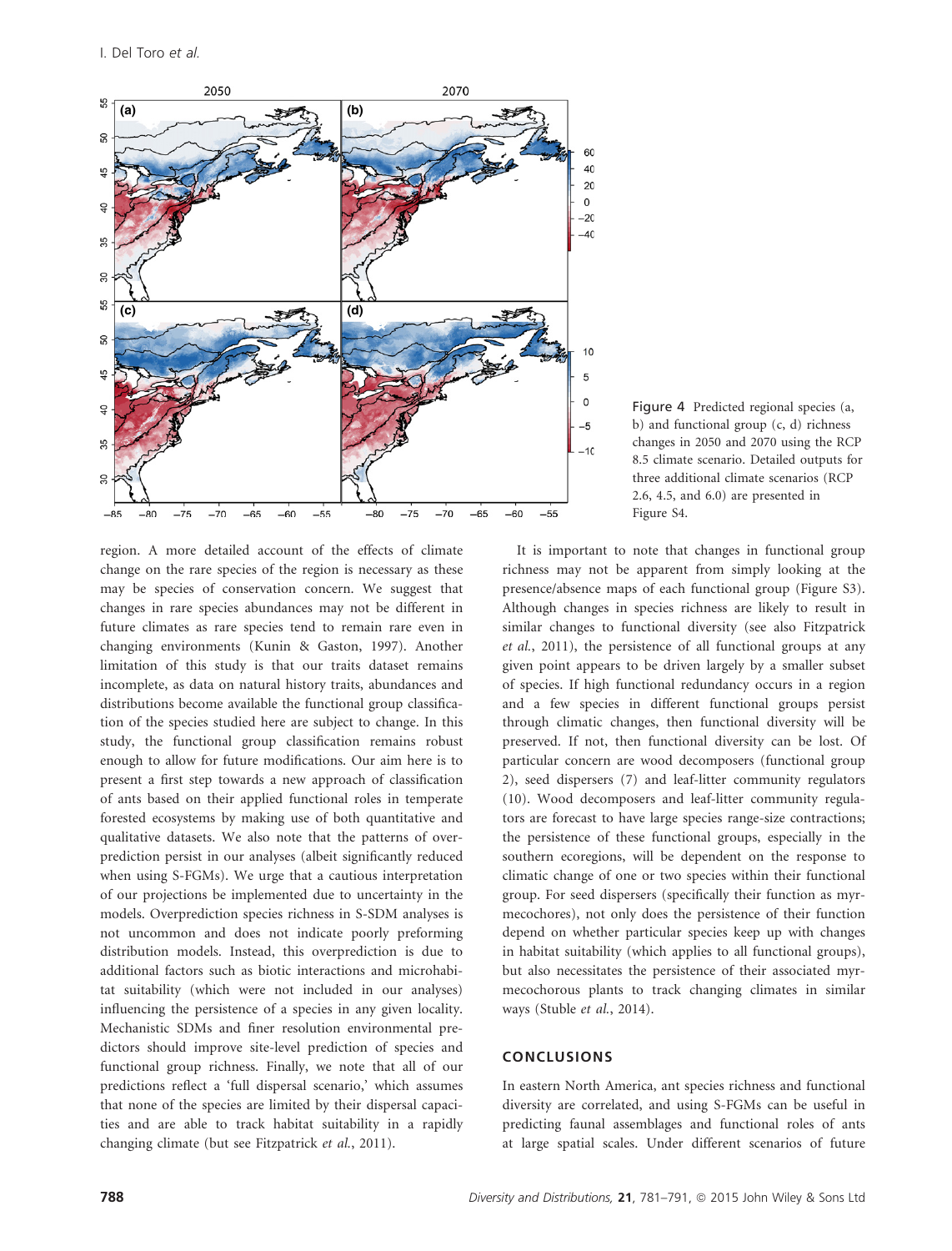

region. A more detailed account of the effects of climate change on the rare species of the region is necessary as these may be species of conservation concern. We suggest that changes in rare species abundances may not be different in future climates as rare species tend to remain rare even in changing environments (Kunin & Gaston, 1997). Another limitation of this study is that our traits dataset remains incomplete, as data on natural history traits, abundances and distributions become available the functional group classification of the species studied here are subject to change. In this study, the functional group classification remains robust enough to allow for future modifications. Our aim here is to present a first step towards a new approach of classification of ants based on their applied functional roles in temperate forested ecosystems by making use of both quantitative and qualitative datasets. We also note that the patterns of overprediction persist in our analyses (albeit significantly reduced when using S-FGMs). We urge that a cautious interpretation of our projections be implemented due to uncertainty in the models. Overprediction species richness in S-SDM analyses is not uncommon and does not indicate poorly preforming distribution models. Instead, this overprediction is due to additional factors such as biotic interactions and microhabitat suitability (which were not included in our analyses) influencing the persistence of a species in any given locality. Mechanistic SDMs and finer resolution environmental predictors should improve site-level prediction of species and functional group richness. Finally, we note that all of our predictions reflect a 'full dispersal scenario,' which assumes that none of the species are limited by their dispersal capacities and are able to track habitat suitability in a rapidly changing climate (but see Fitzpatrick et al., 2011).

Figure 4 Predicted regional species (a, b) and functional group (c, d) richness changes in 2050 and 2070 using the RCP 8.5 climate scenario. Detailed outputs for three additional climate scenarios (RCP 2.6, 4.5, and 6.0) are presented in Figure S4.

It is important to note that changes in functional group richness may not be apparent from simply looking at the presence/absence maps of each functional group (Figure S3). Although changes in species richness are likely to result in similar changes to functional diversity (see also Fitzpatrick et al., 2011), the persistence of all functional groups at any given point appears to be driven largely by a smaller subset of species. If high functional redundancy occurs in a region and a few species in different functional groups persist through climatic changes, then functional diversity will be preserved. If not, then functional diversity can be lost. Of particular concern are wood decomposers (functional group 2), seed dispersers (7) and leaf-litter community regulators (10). Wood decomposers and leaf-litter community regulators are forecast to have large species range-size contractions; the persistence of these functional groups, especially in the southern ecoregions, will be dependent on the response to climatic change of one or two species within their functional group. For seed dispersers (specifically their function as myrmecochores), not only does the persistence of their function depend on whether particular species keep up with changes in habitat suitability (which applies to all functional groups), but also necessitates the persistence of their associated myrmecochorous plants to track changing climates in similar ways (Stuble et al., 2014).

#### CONCLUSIONS

In eastern North America, ant species richness and functional diversity are correlated, and using S-FGMs can be useful in predicting faunal assemblages and functional roles of ants at large spatial scales. Under different scenarios of future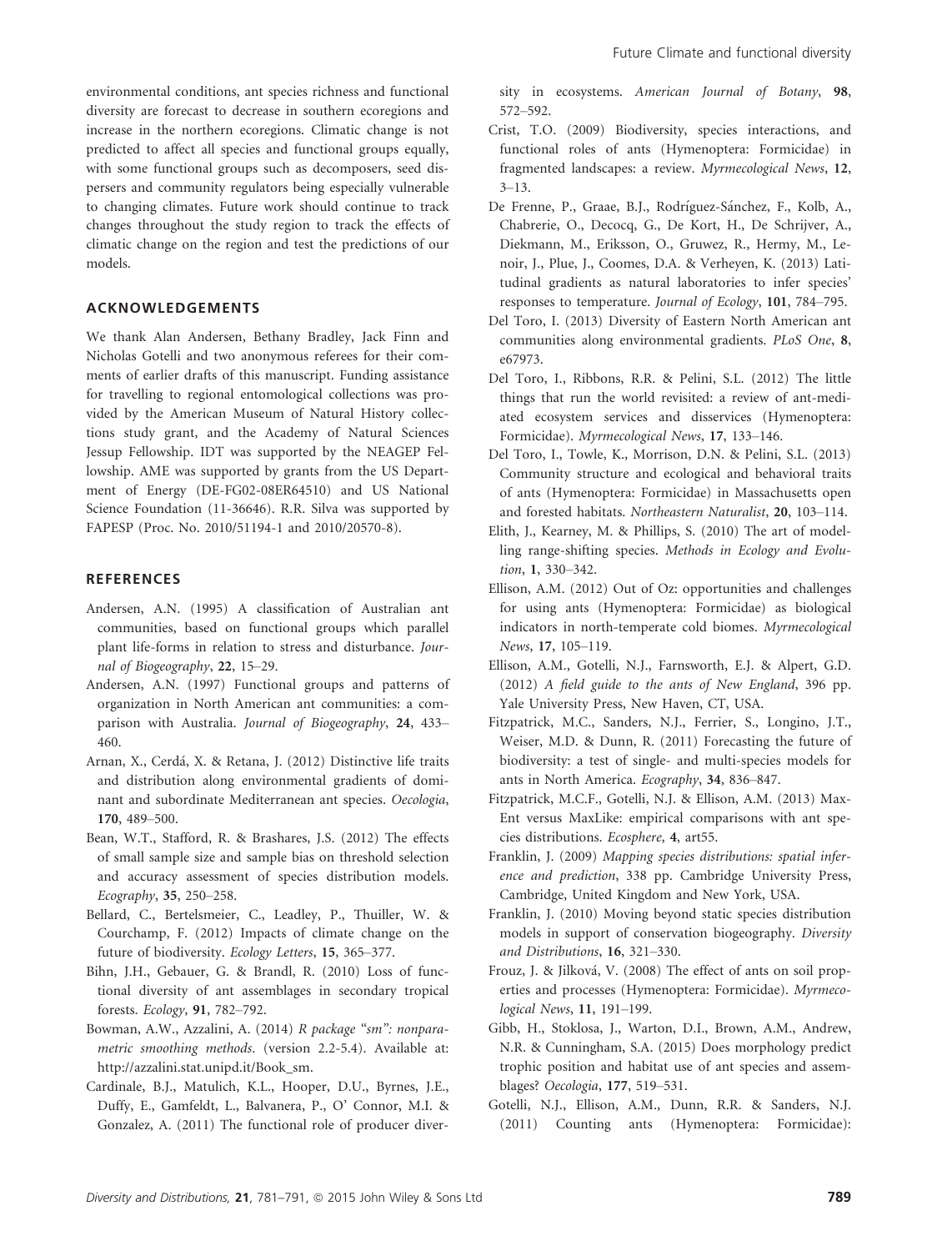environmental conditions, ant species richness and functional diversity are forecast to decrease in southern ecoregions and increase in the northern ecoregions. Climatic change is not predicted to affect all species and functional groups equally, with some functional groups such as decomposers, seed dispersers and community regulators being especially vulnerable to changing climates. Future work should continue to track changes throughout the study region to track the effects of climatic change on the region and test the predictions of our models.

#### ACKNOWLEDGEMENTS

We thank Alan Andersen, Bethany Bradley, Jack Finn and Nicholas Gotelli and two anonymous referees for their comments of earlier drafts of this manuscript. Funding assistance for travelling to regional entomological collections was provided by the American Museum of Natural History collections study grant, and the Academy of Natural Sciences Jessup Fellowship. IDT was supported by the NEAGEP Fellowship. AME was supported by grants from the US Department of Energy (DE-FG02-08ER64510) and US National Science Foundation (11-36646). R.R. Silva was supported by FAPESP (Proc. No. 2010/51194-1 and 2010/20570-8).

# **REFERENCES**

- Andersen, A.N. (1995) A classification of Australian ant communities, based on functional groups which parallel plant life-forms in relation to stress and disturbance. Journal of Biogeography, 22, 15–29.
- Andersen, A.N. (1997) Functional groups and patterns of organization in North American ant communities: a comparison with Australia. Journal of Biogeography, 24, 433– 460.
- Arnan, X., Cerda, X. & Retana, J. (2012) Distinctive life traits and distribution along environmental gradients of dominant and subordinate Mediterranean ant species. Oecologia, 170, 489–500.
- Bean, W.T., Stafford, R. & Brashares, J.S. (2012) The effects of small sample size and sample bias on threshold selection and accuracy assessment of species distribution models. Ecography, 35, 250–258.
- Bellard, C., Bertelsmeier, C., Leadley, P., Thuiller, W. & Courchamp, F. (2012) Impacts of climate change on the future of biodiversity. Ecology Letters, 15, 365–377.
- Bihn, J.H., Gebauer, G. & Brandl, R. (2010) Loss of functional diversity of ant assemblages in secondary tropical forests. Ecology, 91, 782–792.
- Bowman, A.W., Azzalini, A. (2014) R package "sm": nonparametric smoothing methods. (version 2.2-5.4). Available at: [http://azzalini.stat.unipd.it/Book\\_sm](http://azzalini.stat.unipd.it/Book_sm).
- Cardinale, B.J., Matulich, K.L., Hooper, D.U., Byrnes, J.E., Duffy, E., Gamfeldt, L., Balvanera, P., O' Connor, M.I. & Gonzalez, A. (2011) The functional role of producer diver-

sity in ecosystems. American Journal of Botany, 98, 572–592.

- Crist, T.O. (2009) Biodiversity, species interactions, and functional roles of ants (Hymenoptera: Formicidae) in fragmented landscapes: a review. Myrmecological News, 12, 3–13.
- De Frenne, P., Graae, B.J., Rodríguez-Sánchez, F., Kolb, A., Chabrerie, O., Decocq, G., De Kort, H., De Schrijver, A., Diekmann, M., Eriksson, O., Gruwez, R., Hermy, M., Lenoir, J., Plue, J., Coomes, D.A. & Verheyen, K. (2013) Latitudinal gradients as natural laboratories to infer species' responses to temperature. Journal of Ecology, 101, 784–795.
- Del Toro, I. (2013) Diversity of Eastern North American ant communities along environmental gradients. PLoS One, 8, e67973.
- Del Toro, I., Ribbons, R.R. & Pelini, S.L. (2012) The little things that run the world revisited: a review of ant-mediated ecosystem services and disservices (Hymenoptera: Formicidae). Myrmecological News, 17, 133–146.
- Del Toro, I., Towle, K., Morrison, D.N. & Pelini, S.L. (2013) Community structure and ecological and behavioral traits of ants (Hymenoptera: Formicidae) in Massachusetts open and forested habitats. Northeastern Naturalist, 20, 103–114.
- Elith, J., Kearney, M. & Phillips, S. (2010) The art of modelling range-shifting species. Methods in Ecology and Evolution, 1, 330–342.
- Ellison, A.M. (2012) Out of Oz: opportunities and challenges for using ants (Hymenoptera: Formicidae) as biological indicators in north-temperate cold biomes. Myrmecological News, 17, 105–119.
- Ellison, A.M., Gotelli, N.J., Farnsworth, E.J. & Alpert, G.D. (2012) A field guide to the ants of New England, 396 pp. Yale University Press, New Haven, CT, USA.
- Fitzpatrick, M.C., Sanders, N.J., Ferrier, S., Longino, J.T., Weiser, M.D. & Dunn, R. (2011) Forecasting the future of biodiversity: a test of single- and multi-species models for ants in North America. Ecography, 34, 836–847.
- Fitzpatrick, M.C.F., Gotelli, N.J. & Ellison, A.M. (2013) Max-Ent versus MaxLike: empirical comparisons with ant species distributions. Ecosphere, 4, art55.
- Franklin, J. (2009) Mapping species distributions: spatial inference and prediction, 338 pp. Cambridge University Press, Cambridge, United Kingdom and New York, USA.
- Franklin, J. (2010) Moving beyond static species distribution models in support of conservation biogeography. Diversity and Distributions, 16, 321–330.
- Frouz, J. & Jilková, V. (2008) The effect of ants on soil properties and processes (Hymenoptera: Formicidae). Myrmecological News, 11, 191–199.
- Gibb, H., Stoklosa, J., Warton, D.I., Brown, A.M., Andrew, N.R. & Cunningham, S.A. (2015) Does morphology predict trophic position and habitat use of ant species and assemblages? Oecologia, 177, 519–531.
- Gotelli, N.J., Ellison, A.M., Dunn, R.R. & Sanders, N.J. (2011) Counting ants (Hymenoptera: Formicidae):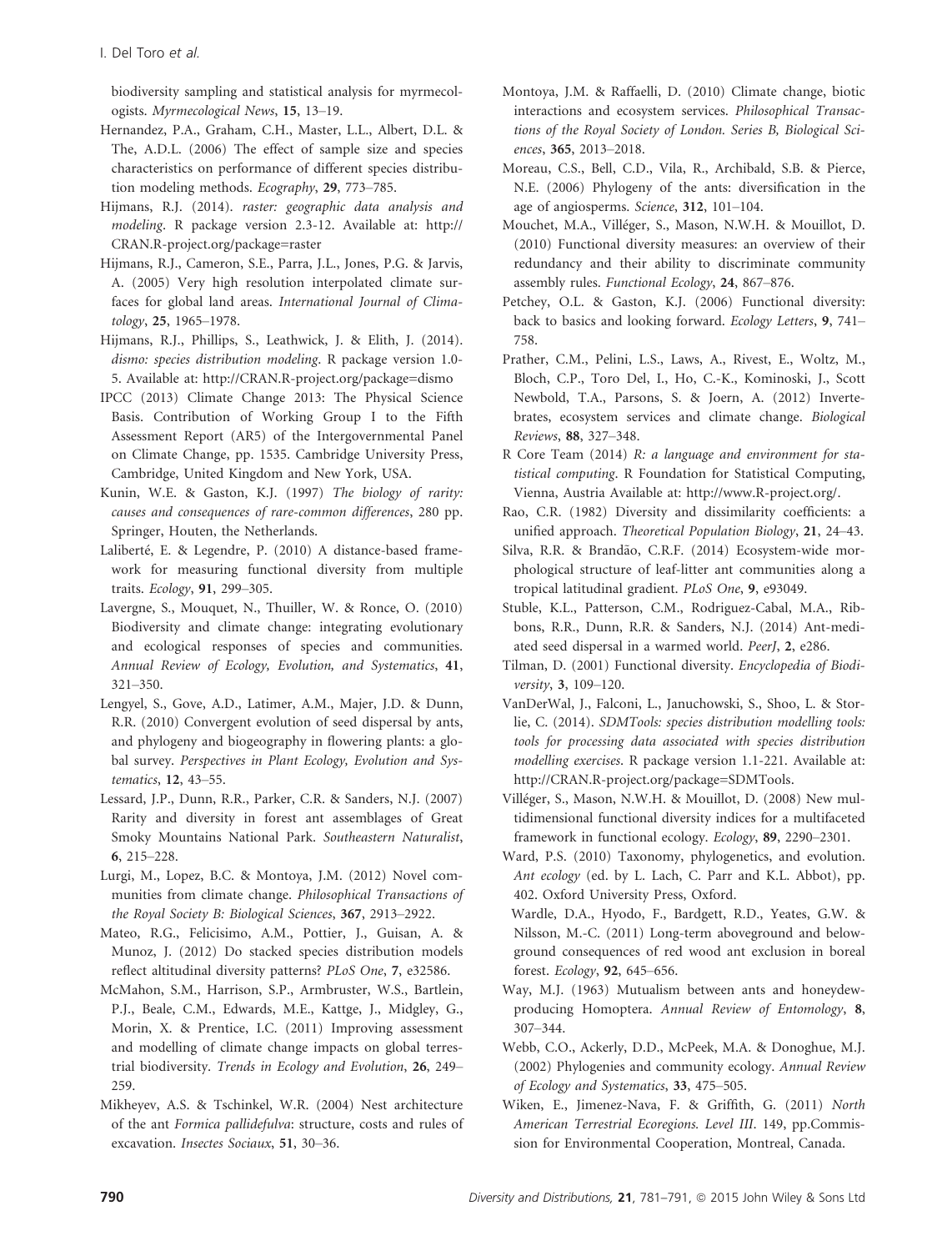I. Del Toro et al.

biodiversity sampling and statistical analysis for myrmecologists. Myrmecological News, 15, 13–19.

- Hernandez, P.A., Graham, C.H., Master, L.L., Albert, D.L. & The, A.D.L. (2006) The effect of sample size and species characteristics on performance of different species distribution modeling methods. Ecography, 29, 773–785.
- Hijmans, R.J. (2014). raster: geographic data analysis and modeling. R package version 2.3-12. Available at: [http://](http://CRAN.R-project.org/package=raster) [CRAN.R-project.org/package=raster](http://CRAN.R-project.org/package=raster)
- Hijmans, R.J., Cameron, S.E., Parra, J.L., Jones, P.G. & Jarvis, A. (2005) Very high resolution interpolated climate surfaces for global land areas. International Journal of Climatology, 25, 1965–1978.
- Hijmans, R.J., Phillips, S., Leathwick, J. & Elith, J. (2014). dismo: species distribution modeling. R package version 1.0- 5. Available at:<http://CRAN.R-project.org/package=dismo>
- IPCC (2013) Climate Change 2013: The Physical Science Basis. Contribution of Working Group I to the Fifth Assessment Report (AR5) of the Intergovernmental Panel on Climate Change, pp. 1535. Cambridge University Press, Cambridge, United Kingdom and New York, USA.
- Kunin, W.E. & Gaston, K.J. (1997) The biology of rarity: causes and consequences of rare-common differences, 280 pp. Springer, Houten, the Netherlands.
- Laliberté, E. & Legendre, P. (2010) A distance-based framework for measuring functional diversity from multiple traits. Ecology, 91, 299–305.
- Lavergne, S., Mouquet, N., Thuiller, W. & Ronce, O. (2010) Biodiversity and climate change: integrating evolutionary and ecological responses of species and communities. Annual Review of Ecology, Evolution, and Systematics, 41, 321–350.
- Lengyel, S., Gove, A.D., Latimer, A.M., Majer, J.D. & Dunn, R.R. (2010) Convergent evolution of seed dispersal by ants, and phylogeny and biogeography in flowering plants: a global survey. Perspectives in Plant Ecology, Evolution and Systematics, 12, 43–55.
- Lessard, J.P., Dunn, R.R., Parker, C.R. & Sanders, N.J. (2007) Rarity and diversity in forest ant assemblages of Great Smoky Mountains National Park. Southeastern Naturalist, 6, 215–228.
- Lurgi, M., Lopez, B.C. & Montoya, J.M. (2012) Novel communities from climate change. Philosophical Transactions of the Royal Society B: Biological Sciences, 367, 2913–2922.
- Mateo, R.G., Felicisimo, A.M., Pottier, J., Guisan, A. & Munoz, J. (2012) Do stacked species distribution models reflect altitudinal diversity patterns? PLoS One, 7, e32586.
- McMahon, S.M., Harrison, S.P., Armbruster, W.S., Bartlein, P.J., Beale, C.M., Edwards, M.E., Kattge, J., Midgley, G., Morin, X. & Prentice, I.C. (2011) Improving assessment and modelling of climate change impacts on global terrestrial biodiversity. Trends in Ecology and Evolution, 26, 249– 259.
- Mikheyev, A.S. & Tschinkel, W.R. (2004) Nest architecture of the ant Formica pallidefulva: structure, costs and rules of excavation. Insectes Sociaux, 51, 30–36.
- Montoya, J.M. & Raffaelli, D. (2010) Climate change, biotic interactions and ecosystem services. Philosophical Transactions of the Royal Society of London. Series B, Biological Sciences, 365, 2013–2018.
- Moreau, C.S., Bell, C.D., Vila, R., Archibald, S.B. & Pierce, N.E. (2006) Phylogeny of the ants: diversification in the age of angiosperms. Science, 312, 101–104.
- Mouchet, M.A., Villeger, S., Mason, N.W.H. & Mouillot, D. (2010) Functional diversity measures: an overview of their redundancy and their ability to discriminate community assembly rules. Functional Ecology, 24, 867–876.
- Petchey, O.L. & Gaston, K.J. (2006) Functional diversity: back to basics and looking forward. Ecology Letters, 9, 741– 758.
- Prather, C.M., Pelini, L.S., Laws, A., Rivest, E., Woltz, M., Bloch, C.P., Toro Del, I., Ho, C.-K., Kominoski, J., Scott Newbold, T.A., Parsons, S. & Joern, A. (2012) Invertebrates, ecosystem services and climate change. Biological Reviews, 88, 327–348.
- R Core Team (2014) R: a language and environment for statistical computing. R Foundation for Statistical Computing, Vienna, Austria Available at:<http://www.R-project.org/>.
- Rao, C.R. (1982) Diversity and dissimilarity coefficients: a unified approach. Theoretical Population Biology, 21, 24–43.
- Silva, R.R. & Brandão, C.R.F. (2014) Ecosystem-wide morphological structure of leaf-litter ant communities along a tropical latitudinal gradient. PLoS One, 9, e93049.
- Stuble, K.L., Patterson, C.M., Rodriguez-Cabal, M.A., Ribbons, R.R., Dunn, R.R. & Sanders, N.J. (2014) Ant-mediated seed dispersal in a warmed world. PeerJ, 2, e286.
- Tilman, D. (2001) Functional diversity. Encyclopedia of Biodiversity, 3, 109–120.
- VanDerWal, J., Falconi, L., Januchowski, S., Shoo, L. & Storlie, C. (2014). SDMTools: species distribution modelling tools: tools for processing data associated with species distribution modelling exercises. R package version 1.1-221. Available at: [http://CRAN.R-project.org/package=SDMTools.](http://CRAN.R-project.org/package=SDMTools)
- Villeger, S., Mason, N.W.H. & Mouillot, D. (2008) New multidimensional functional diversity indices for a multifaceted framework in functional ecology. Ecology, 89, 2290–2301.
- Ward, P.S. (2010) Taxonomy, phylogenetics, and evolution. Ant ecology (ed. by L. Lach, C. Parr and K.L. Abbot), pp. 402. Oxford University Press, Oxford.

Wardle, D.A., Hyodo, F., Bardgett, R.D., Yeates, G.W. & Nilsson, M.-C. (2011) Long-term aboveground and belowground consequences of red wood ant exclusion in boreal forest. Ecology, 92, 645–656.

- Way, M.J. (1963) Mutualism between ants and honeydewproducing Homoptera. Annual Review of Entomology, 8, 307–344.
- Webb, C.O., Ackerly, D.D., McPeek, M.A. & Donoghue, M.J. (2002) Phylogenies and community ecology. Annual Review of Ecology and Systematics, 33, 475–505.
- Wiken, E., Jimenez-Nava, F. & Griffith, G. (2011) North American Terrestrial Ecoregions. Level III. 149, pp.Commission for Environmental Cooperation, Montreal, Canada.